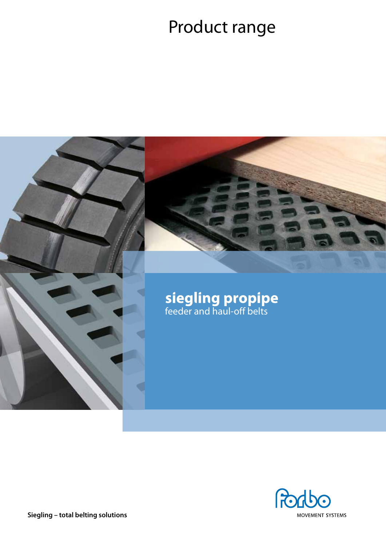# Product range





**Siegling – total belting solutions**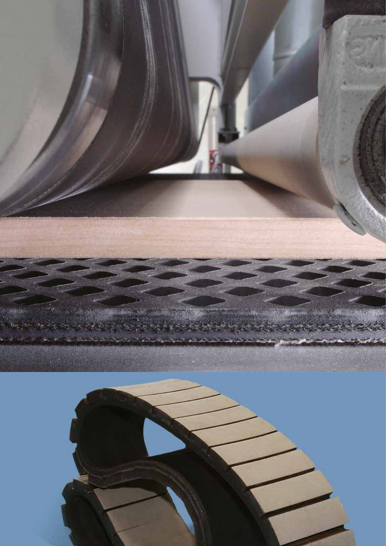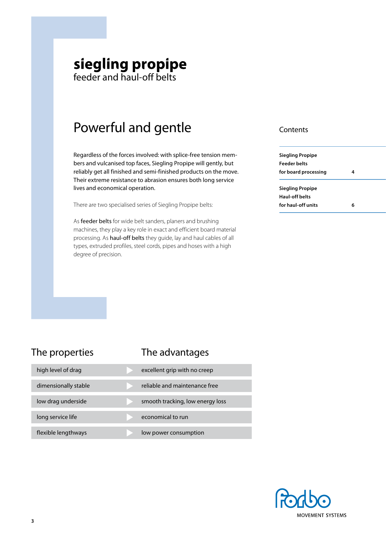# siegling propipe

feeder and haul-off belts

# Powerful and gentle

Regardless of the forces involved: with splice-free tension members and vulcanised top faces, Siegling Propipe will gently, but reliably get all finished and semi-finished products on the move. Their extreme resistance to abrasion ensures both long service lives and economical operation.

There are two specialised series of Siegling Propipe belts:

As feeder belts for wide belt sanders, planers and brushing machines, they play a key role in exact and efficient board material processing. As haul-off belts they guide, lay and haul cables of all types, extruded profiles, steel cords, pipes and hoses with a high degree of precision.

#### **Contents**

| Siegling Propipe<br>Feeder belts |   |
|----------------------------------|---|
| for board processing             | 4 |
| Siegling Propipe                 |   |
| <b>Haul-off belts</b>            |   |
| for haul-off units               | 6 |

# The properties The advantages

| high level of drag   | excellent grip with no creep     |
|----------------------|----------------------------------|
| dimensionally stable | reliable and maintenance free    |
| low drag underside   | smooth tracking, low energy loss |
| long service life    | economical to run                |
| flexible lengthways  | low power consumption            |

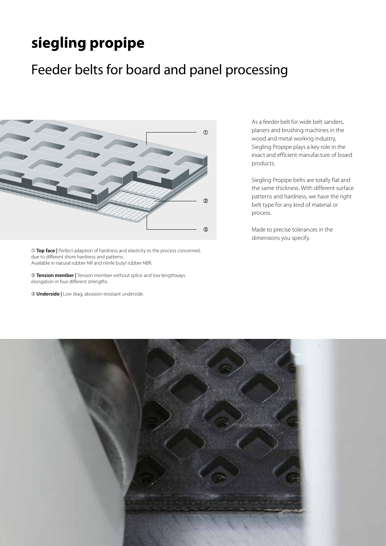# siegling propipe

# Feeder belts for board and panel processing



➀ **Top face |** Perfect adaption of hardness and elasticity to the process concerned, due to different shore hardness and patterns. Available in natural rubber NR and nitrile butyl rubber NBR.

➁ **Tension member |** Tension member without splice and low lengthways elongation in four different strengths.

➂ **Underside |** Low drag, abrasion-resistant underside.

As a feeder belt for wide belt sanders, planers and brushing machines in the wood and metal working industry, Siegling Propipe plays a key role in the exact and efficient manufacture of board products.

Siegling Propipe belts are totally flat and the same thickness. With different surface patterns and hardness, we have the right belt type for any kind of material or process.

Made to precise tolerances in the dimensions you specify.

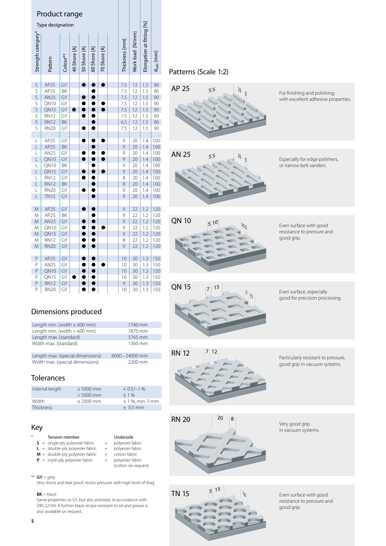### Product range

| Type designation        |                          |          |              |              |                        |              |  |                |                  |                           |                       |
|-------------------------|--------------------------|----------|--------------|--------------|------------------------|--------------|--|----------------|------------------|---------------------------|-----------------------|
| Strength category*      | Pattern                  | Colour** | 40 Shore [A] | 50 Shore [A] | 60 Shore [A]           | 70 Shore [A] |  | Thickness [mm] | Work load [N/mm] | Elongation at fitting [%] | d <sub>min</sub> [mm] |
|                         |                          |          |              |              |                        |              |  |                |                  |                           |                       |
| S<br>S<br>S             | AP25                     | GY       |              | 0            | $\bullet$              | $\bullet$    |  | 7.5            | 12               | 1.5                       | 90                    |
|                         | AP25                     | ΒK       |              |              | $\bullet$              |              |  | 7.5            | 12               | 1.5                       | 90                    |
| $\overline{\mathsf{S}}$ | AN <sub>25</sub><br>QN10 | GY<br>GY |              | $\bullet$    | $\bullet$<br>$\bullet$ |              |  | 7.5<br>7.5     | 12<br>12         | 1.5<br>1.5                | 90<br>90              |
| $\overline{S}$          |                          | GY       |              | $\bullet$    | $\bullet$              |              |  |                |                  |                           |                       |
| $\overline{\mathsf{S}}$ | QN15<br><b>RN12</b>      | GY       |              |              |                        |              |  | 7.5            | 12<br>12         | 1.5<br>1.5                | 90<br>90              |
|                         | <b>RN12</b>              | BK       |              |              | $\bullet$<br>$\bullet$ |              |  | 7.5<br>6.5     | 12               | 1.5                       | 90                    |
| s<br>S                  | <b>RN20</b>              | GY       |              |              |                        |              |  | 7.5            | 12               | 1.5                       | 90                    |
|                         |                          |          |              |              |                        |              |  |                |                  |                           |                       |
| L                       | AP25                     | GY       |              |              | $\bullet$              |              |  | 9              | 20               | 1.4                       | 100                   |
| L                       | AP25                     | BK       |              |              | $\bullet$              |              |  | 9              | 20               | 1.4                       | 100                   |
| L                       | <b>AN25</b>              | GY       |              |              | $\bullet$              |              |  | 9              | 20               | 1.4                       | 100                   |
| $\overline{\mathsf{L}}$ | QN <sub>10</sub>         | GY       |              | $\bullet$    | $\bullet$              |              |  | 9              | 20               | 1.4                       | 100                   |
| L                       | QN10                     | ΒK       |              |              | ٥                      |              |  | 9              | 20               | 1.4                       | 100                   |
| L                       | QN15                     | GY       |              |              | $\bullet$              |              |  | 9              | 20               | 1.4                       | 100                   |
| L                       | <b>RN12</b>              | GY       |              |              | $\bullet$              |              |  | 8              | 20               | 1.4                       | 100                   |
| L                       | <b>RN12</b>              | BK       |              |              | $\bullet$              |              |  | 8              | 20               | 1.4                       | 100                   |
| L                       | <b>RN20</b>              | GY       |              |              | $\bullet$              |              |  | 9              | 20               | 1.4                       | 100                   |
| Ĺ                       | TN15                     | GY       |              |              |                        |              |  | 9              | 20               | 1.4                       | 100                   |
|                         |                          |          |              |              |                        |              |  |                |                  |                           |                       |
| M                       | AP25                     | GY       |              |              | 0                      |              |  | 9              | 22               | 1.2                       | 120                   |
| M                       | AP25                     | BK       |              |              |                        |              |  | 9              | 22               | 1.2                       | 120                   |
| M                       | <b>AN25</b>              | GY       |              |              | $\bullet$              |              |  | 9              | 22               | 1.2                       | 120                   |
| M                       | QN10                     | GY       |              |              | $\bullet$              |              |  | 9              | 22               | 1.2                       | 120                   |
| M                       | QN15                     | GY       |              |              | $\bullet$              |              |  | 9              | 22               | 1.2                       | 120                   |
| M                       | <b>RN12</b>              | GY       |              | $\bullet$    | $\bullet$              |              |  | 8              | 22               | 1.2                       | 120                   |
| M                       | <b>RN20</b>              | GY       |              |              | $\bullet$              |              |  | 9              | 22               | 1.2                       | 120                   |
|                         |                          |          |              |              |                        |              |  |                |                  |                           |                       |
| P                       | AP25                     | GY       |              |              | $\bullet$              |              |  | 10             | 30               | 1.3                       | 150                   |
| P                       | AN <sub>25</sub>         | GY       |              |              | ٥                      |              |  | 10             | 30               | 1.3                       | 150                   |
| P                       | QN <sub>10</sub>         | GY       |              |              | $\bullet$              |              |  | 10             | 30               | 1.3                       | 150                   |
| P                       | QN15                     | GY       |              |              | $\bullet$              |              |  | 10             | 30               | 1.3                       | 150                   |
| P                       | <b>RN12</b>              | GY       |              |              |                        |              |  | 9              | 30               | 1.3                       | 150                   |
| P                       | <b>RN20</b>              | GY       |              |              |                        |              |  | 10             | 30               | 1.3                       | 150                   |

# Dimensions produced

| Length min. (width $\leq 600$ mm) | 1740 mm           |
|-----------------------------------|-------------------|
| Length min. (width $> 600$ mm)    | 1870 mm           |
| Length max. (standard)            | 5765 mm           |
| Width max. (standard)             | 1360 mm           |
| Length max. (special dimensions)  | $6000 - 24000$ mm |
| Width max. (special dimensions)   | 2200 mm           |

### **Tolerances**

| Internal length | $\leq 5000$ mm      | $+0.5/-1%$           |
|-----------------|---------------------|----------------------|
|                 | $> 5000$ mm         | $+1\%$               |
| Width           | $< 2000 \text{ mm}$ | $\pm$ 1 %, min, 3 mm |
| Thickness       |                     | $+0.5$ mm            |

#### Key

- **Tension member** Underside<br>
Single-ply polyester fabric + polyester fabric  $S = \text{single-phy polyester fabric} + \text{polyester fabric}$ <br> $L = \text{double-phy polyester fabric} + \text{polyester fabric}$
- $L =$  double-ply polyester fabric
- **M** = double-ply polyester fabric + cotton fabric<br> **P** = triple-ply polyester fabric + polyester fabric
- $P =$  triple-ply polyester fabric

### (cotton on request)

#### \*\* **GY** = grey

Very shock and tear proof, resists pressure with high level of drag.

#### **BK** = black

Same properties as GY, but also antistatic in accordance with DIN 22104. A further black recipe resistant to oil and grease is also available on request.

### Patterns (Scale 1:2)



5 5 5 AN 25

ON 10

RN 20

Especially for edge polishers,

or narrow belt sanders.

For finishing and polishing; with excellent adhesive properties.

 $5|10$ 

Even surface with good resistance to pressure and good grip.



Even surface, especially good for precision processing.



Particularly resistant to pressure, good grip in vacuum systems.

 $20 | 8$ 

Very good grip in vacuum systems.



resistance to pressure and good grip.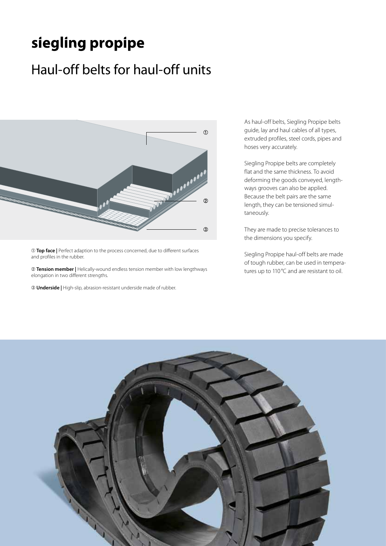# siegling propipe

# Haul-off belts for haul-off units



➀ **Top face |** Perfect adaption to the process concerned, due to different surfaces and profiles in the rubber.

➁ **Tension member |** Helically-wound endless tension member with low lengthways elongation in two different strengths.

➂ **Underside |** High-slip, abrasion-resistant underside made of rubber.

As haul-off belts, Siegling Propipe belts guide, lay and haul cables of all types, extruded profiles, steel cords, pipes and hoses very accurately.

Siegling Propipe belts are completely flat and the same thickness. To avoid deforming the goods conveyed, lengthways grooves can also be applied. Because the belt pairs are the same length, they can be tensioned simultaneously.

They are made to precise tolerances to the dimensions you specify.

Siegling Propipe haul-off belts are made of tough rubber, can be used in temperatures up to 110°C and are resistant to oil.

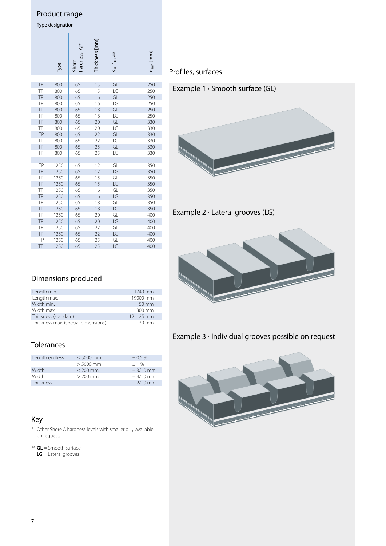### Product range

Type designation

|    | Type | Shore<br>hardness [A]* | Thickness [mm] | Surface** | d <sub>min</sub> [mm] |
|----|------|------------------------|----------------|-----------|-----------------------|
|    |      |                        |                |           |                       |
| TP | 800  | 65                     | 15             | GL        | 250                   |
| TP | 800  | 65                     | 15             | LG        | 250                   |
| TP | 800  | 65                     | 16             | GL        | 250                   |
| TP | 800  | 65                     | 16             | LG        | 250                   |
| TP | 800  | 65                     | 18             | GL        | 250                   |
| TP | 800  | 65                     | 18             | LG        | 250                   |
| TP | 800  | 65                     | 20             | GL        | 330                   |
| TP | 800  | 65                     | 20             | LG        | 330                   |
| TP | 800  | 65                     | 22             | GL        | 330                   |
| TP | 800  | 65                     | 22             | LG        | 330                   |
| TP | 800  | 65                     | 25             | GL        | 330                   |
| TP | 800  | 65                     | 25             | LG        | 330                   |
|    |      |                        |                |           |                       |
| TP | 1250 | 65                     | 12             | GL        | 350                   |
| TP | 1250 | 65                     | 12             | LG        | 350                   |
| TP | 1250 | 65                     | 15             | GL        | 350                   |
| TP | 1250 | 65                     | 15             | LG        | 350                   |
| TP | 1250 | 65                     | 16             | GL        | 350                   |
| TP | 1250 | 65                     | 16             | LG        | 350                   |
| TP | 1250 | 65                     | 18             | GL        | 350                   |
| TP | 1250 | 65                     | 18             | LG        | 350                   |
| TP | 1250 | 65                     | 20             | GL        | 400                   |
| TP | 1250 | 65                     | 20             | LG        | 400                   |
| TP | 1250 | 65                     | 22             | GL        | 400                   |
| TP | 1250 | 65                     | 22             | LG        | 400                   |
| TP | 1250 | 65                     | 25             | GL        | 400                   |
| TP | 1250 | 65                     | 25             | LG        | 400                   |

# Profiles, surfaces



Example 2 · Lateral grooves (LG)



# Dimensions produced

| Length min.                         | 1740 mm           |
|-------------------------------------|-------------------|
| Length max.                         | 19000 mm          |
| Width min.                          | 50 mm             |
| Width max.                          | 300 mm            |
| Thickness (standard)                | $12 - 25$ mm      |
| Thickness max. (special dimensions) | $30 \, \text{mm}$ |

### **Tolerances**

| Length endless | $\leq 5000$ mm | $+0.5%$    |
|----------------|----------------|------------|
|                | $> 5000$ mm    | $+1\%$     |
| Width          | $\leq 200$ mm  | $+3/-0$ mm |
| Width          | $> 200$ mm     | $+4/-0$ mm |
| Thickness      |                | $+2/-0$ mm |

### Key

Other Shore A hardness levels with smaller  $d_{min}$  available on request.

\*\* **GL** = Smooth surface

**LG** = Lateral grooves

# Example 3 · Individual grooves possible on request